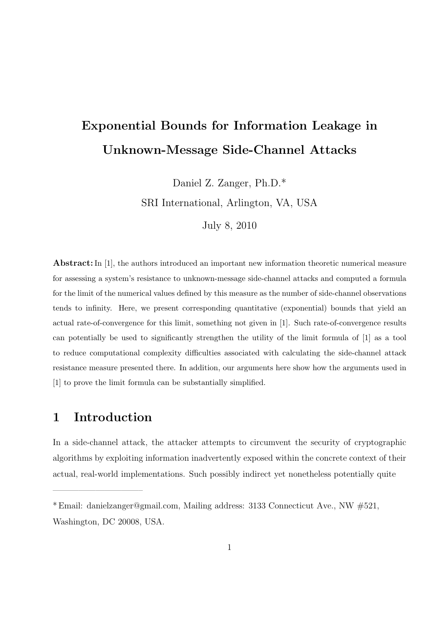### Exponential Bounds for Information Leakage in Unknown-Message Side-Channel Attacks

Daniel Z. Zanger, Ph.D.\*

SRI International, Arlington, VA, USA

July 8, 2010

Abstract: In [1], the authors introduced an important new information theoretic numerical measure for assessing a system's resistance to unknown-message side-channel attacks and computed a formula for the limit of the numerical values defined by this measure as the number of side-channel observations tends to infinity. Here, we present corresponding quantitative (exponential) bounds that yield an actual rate-of-convergence for this limit, something not given in [1]. Such rate-of-convergence results can potentially be used to significantly strengthen the utility of the limit formula of [1] as a tool to reduce computational complexity difficulties associated with calculating the side-channel attack resistance measure presented there. In addition, our arguments here show how the arguments used in [1] to prove the limit formula can be substantially simplified.

#### 1 Introduction

——————————–

In a side-channel attack, the attacker attempts to circumvent the security of cryptographic algorithms by exploiting information inadvertently exposed within the concrete context of their actual, real-world implementations. Such possibly indirect yet nonetheless potentially quite

<sup>\*</sup> Email: danielzanger@gmail.com, Mailing address: 3133 Connecticut Ave., NW #521, Washington, DC 20008, USA.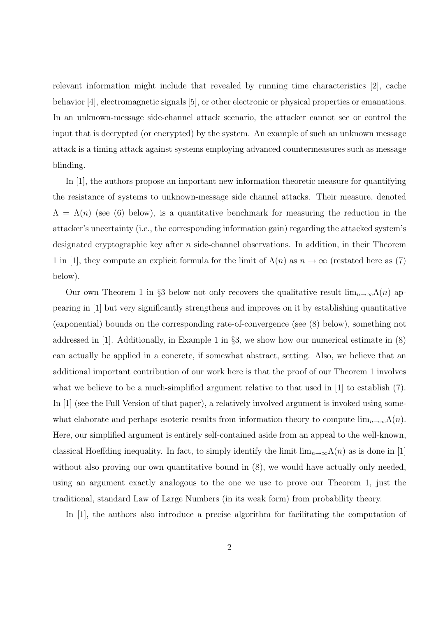relevant information might include that revealed by running time characteristics [2], cache behavior [4], electromagnetic signals [5], or other electronic or physical properties or emanations. In an unknown-message side-channel attack scenario, the attacker cannot see or control the input that is decrypted (or encrypted) by the system. An example of such an unknown message attack is a timing attack against systems employing advanced countermeasures such as message blinding.

In [1], the authors propose an important new information theoretic measure for quantifying the resistance of systems to unknown-message side channel attacks. Their measure, denoted  $\Lambda = \Lambda(n)$  (see (6) below), is a quantitative benchmark for measuring the reduction in the attacker's uncertainty (i.e., the corresponding information gain) regarding the attacked system's designated cryptographic key after  $n$  side-channel observations. In addition, in their Theorem 1 in [1], they compute an explicit formula for the limit of  $\Lambda(n)$  as  $n \to \infty$  (restated here as (7) below).

Our own Theorem 1 in §3 below not only recovers the qualitative result  $\lim_{n\to\infty}\Lambda(n)$  appearing in [1] but very significantly strengthens and improves on it by establishing quantitative (exponential) bounds on the corresponding rate-of-convergence (see (8) below), something not addressed in [1]. Additionally, in Example 1 in §3, we show how our numerical estimate in (8) can actually be applied in a concrete, if somewhat abstract, setting. Also, we believe that an additional important contribution of our work here is that the proof of our Theorem 1 involves what we believe to be a much-simplified argument relative to that used in [1] to establish  $(7)$ . In [1] (see the Full Version of that paper), a relatively involved argument is invoked using somewhat elaborate and perhaps esoteric results from information theory to compute  $\lim_{n\to\infty}\Lambda(n)$ . Here, our simplified argument is entirely self-contained aside from an appeal to the well-known, classical Hoeffding inequality. In fact, to simply identify the limit  $\lim_{n\to\infty}\Lambda(n)$  as is done in [1] without also proving our own quantitative bound in  $(8)$ , we would have actually only needed, using an argument exactly analogous to the one we use to prove our Theorem 1, just the traditional, standard Law of Large Numbers (in its weak form) from probability theory.

In [1], the authors also introduce a precise algorithm for facilitating the computation of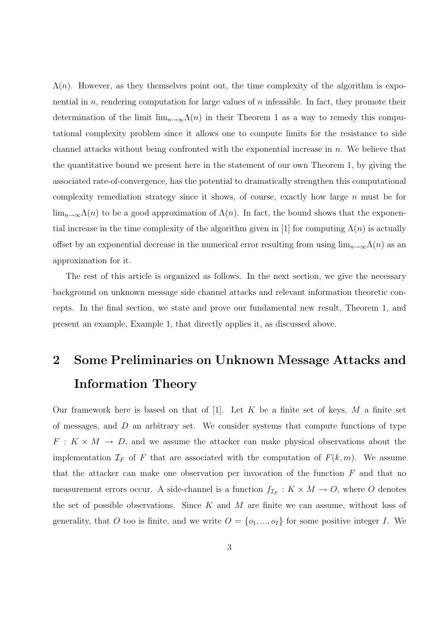$\Lambda(n)$ . However, as they themselves point out, the time complexity of the algorithm is exponential in  $n$ , rendering computation for large values of  $n$  infeasible. In fact, they promote their determination of the limit  $\lim_{n\to\infty}\Lambda(n)$  in their Theorem 1 as a way to remedy this computational complexity problem since it allows one to compute limits for the resistance to side channel attacks without being confronted with the exponential increase in  $n$ . We believe that the quantitative bound we present here in the statement of our own Theorem 1, by giving the associated rate-of-convergence, has the potential to dramatically strengthen this computational complexity remediation strategy since it shows, of course, exactly how large  $n$  must be for  $\lim_{n\to\infty}\Lambda(n)$  to be a good approximation of  $\Lambda(n)$ . In fact, the bound shows that the exponential increase in the time complexity of the algorithm given in [1] for computing  $\Lambda(n)$  is actually offset by an exponential decrease in the numerical error resulting from using  $\lim_{n\to\infty}\Lambda(n)$  as an approximation for it.

The rest of this article is organized as follows. In the next section, we give the necessary background on unknown message side channel attacks and relevant information theoretic concepts. In the final section, we state and prove our fundamental new result, Theorem 1, and present an example, Example 1, that directly applies it, as discussed above.

# 2 Some Preliminaries on Unknown Message Attacks and Information Theory

Our framework here is based on that of  $[1]$ . Let K be a finite set of keys, M a finite set of messages, and  $D$  an arbitrary set. We consider systems that compute functions of type  $F: K \times M \rightarrow D$ , and we assume the attacker can make physical observations about the implementation  $\mathcal{I}_F$  of F that are associated with the computation of  $F(k, m)$ . We assume that the attacker can make one observation per invocation of the function  $F$  and that no measurement errors occur. A side-channel is a function  $f_{\mathcal{I}_F}: K \times M \to O$ , where O denotes the set of possible observations. Since  $K$  and  $M$  are finite we can assume, without loss of generality, that O too is finite, and we write  $O = \{o_1, ..., o_I\}$  for some positive integer I. We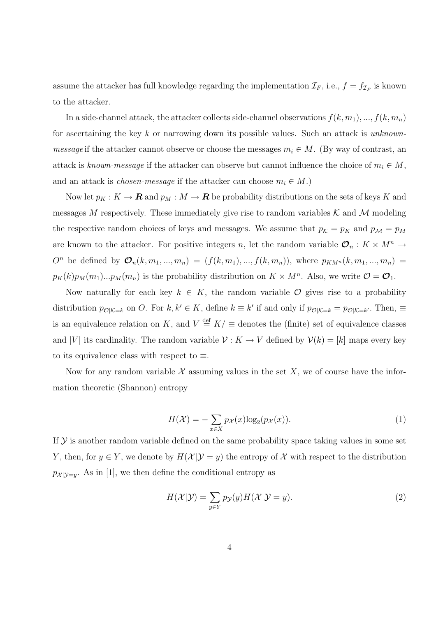assume the attacker has full knowledge regarding the implementation  $\mathcal{I}_F$ , i.e.,  $f = f_{\mathcal{I}_F}$  is known to the attacker.

In a side-channel attack, the attacker collects side-channel observations  $f(k, m_1), ..., f(k, m_n)$ for ascertaining the key k or narrowing down its possible values. Such an attack is unknown*message* if the attacker cannot observe or choose the messages  $m_i \in M$ . (By way of contrast, an attack is known-message if the attacker can observe but cannot influence the choice of  $m_i \in M$ , and an attack is *chosen-message* if the attacker can choose  $m_i \in M$ .)

Now let  $p_K : K \to \mathbf{R}$  and  $p_M : M \to \mathbf{R}$  be probability distributions on the sets of keys K and messages M respectively. These immediately give rise to random variables  $\mathcal K$  and  $\mathcal M$  modeling the respective random choices of keys and messages. We assume that  $p_K = p_K$  and  $p_M = p_M$ are known to the attacker. For positive integers n, let the random variable  $\mathcal{O}_n : K \times M^n \to$  $O<sup>n</sup>$  be defined by  $\mathcal{O}_n(k, m_1, ..., m_n) = (f(k, m_1), ..., f(k, m_n))$ , where  $p_{KM^n}(k, m_1, ..., m_n)$  $p_K(k)p_M(m_1)...p_M(m_n)$  is the probability distribution on  $K \times M^n$ . Also, we write  $\mathcal{O} = \mathcal{O}_1$ .

Now naturally for each key  $k \in K$ , the random variable  $\mathcal O$  gives rise to a probability distribution  $p_{\mathcal{O}|\mathcal{K}=k}$  on O. For  $k, k' \in K$ , define  $k \equiv k'$  if and only if  $p_{\mathcal{O}|\mathcal{K}=k} = p_{\mathcal{O}|\mathcal{K}=k'}$ . Then,  $\equiv$ is an equivalence relation on K, and  $V \stackrel{\text{def}}{=} K / \equiv$  denotes the (finite) set of equivalence classes and |V| its cardinality. The random variable  $\mathcal{V}: K \to V$  defined by  $\mathcal{V}(k) = [k]$  maps every key to its equivalence class with respect to  $\equiv$ .

Now for any random variable  $\mathcal X$  assuming values in the set  $X$ , we of course have the information theoretic (Shannon) entropy

$$
H(\mathcal{X}) = -\sum_{x \in X} p_{\mathcal{X}}(x) \log_2(p_{\mathcal{X}}(x)).
$$
\n(1)

If  $\mathcal Y$  is another random variable defined on the same probability space taking values in some set Y, then, for  $y \in Y$ , we denote by  $H(\mathcal{X}|\mathcal{Y}=y)$  the entropy of X with respect to the distribution  $p_{\mathcal{X}|\mathcal{Y}=y}$ . As in [1], we then define the conditional entropy as

$$
H(\mathcal{X}|\mathcal{Y}) = \sum_{y \in Y} p_{\mathcal{Y}}(y) H(\mathcal{X}|\mathcal{Y} = y).
$$
\n(2)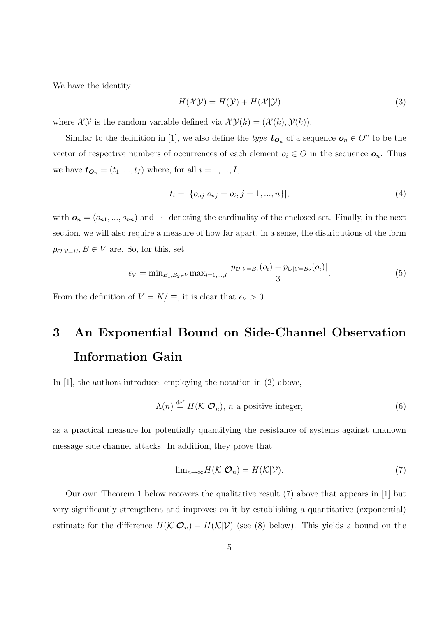We have the identity

$$
H(\mathcal{X}\mathcal{Y}) = H(\mathcal{Y}) + H(\mathcal{X}|\mathcal{Y})
$$
\n(3)

where  $\mathcal{XY}$  is the random variable defined via  $\mathcal{XY}(k) = (\mathcal{X}(k), \mathcal{Y}(k)).$ 

Similar to the definition in [1], we also define the *type*  $t_{O_n}$  of a sequence  $O_n \in O^n$  to be the vector of respective numbers of occurrences of each element  $o_i \in O$  in the sequence  $o_n$ . Thus we have  $t_{\textbf{O}_n} = (t_1, ..., t_I)$  where, for all  $i = 1, ..., I$ ,

$$
t_i = |\{o_{nj}|o_{nj} = o_i, j = 1, ..., n\}|,
$$
\n(4)

with  $\mathbf{o}_n = (o_{n1}, ..., o_{nn})$  and  $|\cdot|$  denoting the cardinality of the enclosed set. Finally, in the next section, we will also require a measure of how far apart, in a sense, the distributions of the form  $p_{\mathcal{O}|\mathcal{V}=B}, B \in V$  are. So, for this, set

$$
\epsilon_V = \min_{B_1, B_2 \in V} \max_{i=1,\dots,I} \frac{|p_{\mathcal{O}|V=B_1}(o_i) - p_{\mathcal{O}|V=B_2}(o_i)|}{3}.
$$
 (5)

From the definition of  $V = K / \equiv$ , it is clear that  $\epsilon_V > 0$ .

# 3 An Exponential Bound on Side-Channel Observation Information Gain

In [1], the authors introduce, employing the notation in  $(2)$  above,

$$
\Lambda(n) \stackrel{\text{def}}{=} H(\mathcal{K}|\mathcal{O}_n), \ n \text{ a positive integer}, \tag{6}
$$

as a practical measure for potentially quantifying the resistance of systems against unknown message side channel attacks. In addition, they prove that

$$
\lim_{n \to \infty} H(\mathcal{K}|\mathcal{O}_n) = H(\mathcal{K}|\mathcal{V}).
$$
\n(7)

Our own Theorem 1 below recovers the qualitative result (7) above that appears in [1] but very significantly strengthens and improves on it by establishing a quantitative (exponential) estimate for the difference  $H(\mathcal{K}|\mathcal{O}_n) - H(\mathcal{K}|\mathcal{V})$  (see (8) below). This yields a bound on the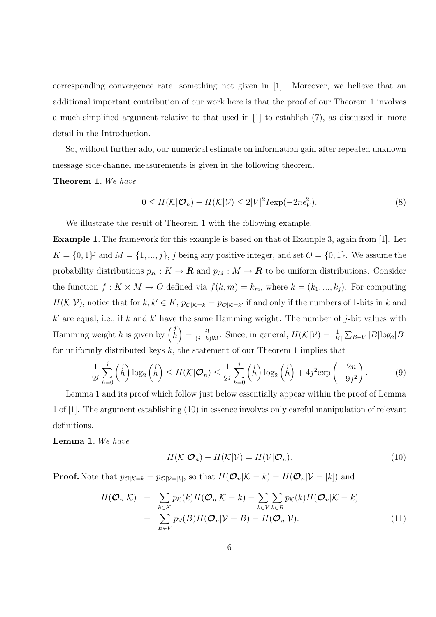corresponding convergence rate, something not given in [1]. Moreover, we believe that an additional important contribution of our work here is that the proof of our Theorem 1 involves a much-simplified argument relative to that used in [1] to establish (7), as discussed in more detail in the Introduction.

So, without further ado, our numerical estimate on information gain after repeated unknown message side-channel measurements is given in the following theorem.

Theorem 1. We have

$$
0 \le H(\mathcal{K}|\mathcal{O}_n) - H(\mathcal{K}|\mathcal{V}) \le 2|V|^2 I \exp(-2n\epsilon_V^2). \tag{8}
$$

We illustrate the result of Theorem 1 with the following example.

Example 1. The framework for this example is based on that of Example 3, again from [1]. Let  $K = \{0, 1\}^j$  and  $M = \{1, ..., j\}$ , j being any positive integer, and set  $O = \{0, 1\}$ . We assume the probability distributions  $p_K : K \to \mathbf{R}$  and  $p_M : M \to \mathbf{R}$  to be uniform distributions. Consider the function  $f: K \times M \to O$  defined via  $f(k, m) = k_m$ , where  $k = (k_1, ..., k_j)$ . For computing  $H(\mathcal{K}|\mathcal{V})$ , notice that for  $k, k' \in K$ ,  $p_{\mathcal{O}|\mathcal{K}=k} = p_{\mathcal{O}|\mathcal{K}=k'}$  if and only if the numbers of 1-bits in k and k' are equal, i.e., if k and k' have the same Hamming weight. The number of j-bit values with Hamming weight h is given by  $\begin{pmatrix} j \\ h \end{pmatrix} = \frac{j!}{(j-h)!}$  $\frac{j!}{(j-h)!h!}$ . Since, in general,  $H(\mathcal{K}|\mathcal{V}) = \frac{1}{|K|}$  $\overline{ }$  $_{B\in V}$  |B|log<sub>2</sub>|B| for uniformly distributed keys  $k$ , the statement of our Theorem 1 implies that

$$
\frac{1}{2^j} \sum_{h=0}^j \binom{j}{h} \log_2 \binom{j}{h} \le H(\mathcal{K}|\mathcal{O}_n) \le \frac{1}{2^j} \sum_{h=0}^j \binom{j}{h} \log_2 \binom{j}{h} + 4j^2 \exp\left(-\frac{2n}{9j^2}\right).
$$
\n(9)

Lemma 1 and its proof which follow just below essentially appear within the proof of Lemma 1 of [1]. The argument establishing (10) in essence involves only careful manipulation of relevant definitions.

Lemma 1. We have

$$
H(\mathcal{K}|\mathcal{O}_n) - H(\mathcal{K}|\mathcal{V}) = H(\mathcal{V}|\mathcal{O}_n).
$$
\n(10)

**Proof.** Note that  $p_{\mathcal{O}|\mathcal{K}=k} = p_{\mathcal{O}|\mathcal{V}=k}$ , so that  $H(\mathcal{O}_n|\mathcal{K}=k) = H(\mathcal{O}_n|\mathcal{V}=k])$  and

$$
H(\mathcal{O}_n|\mathcal{K}) = \sum_{k \in K} p_{\mathcal{K}}(k)H(\mathcal{O}_n|\mathcal{K}=k) = \sum_{k \in V} \sum_{k \in B} p_{\mathcal{K}}(k)H(\mathcal{O}_n|\mathcal{K}=k)
$$
  
= 
$$
\sum_{B \in V} p_{\mathcal{V}}(B)H(\mathcal{O}_n|\mathcal{V}=B) = H(\mathcal{O}_n|\mathcal{V}).
$$
 (11)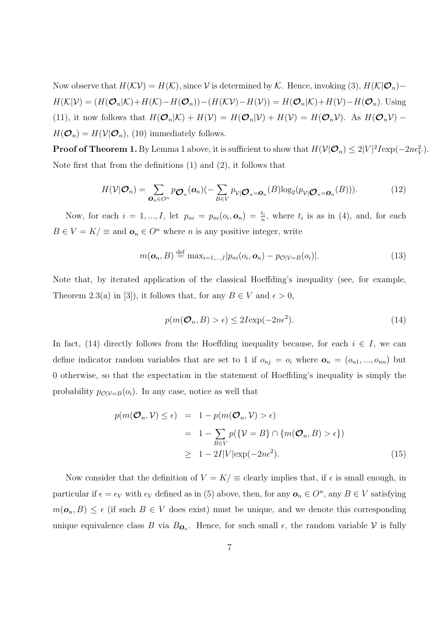Now observe that  $H(\mathcal{KV}) = H(\mathcal{K})$ , since V is determined by K. Hence, invoking (3),  $H(\mathcal{K}|\mathcal{O}_n)$  –  $H(\mathcal{K}|\mathcal{V}) = (H(\mathcal{O}_n|\mathcal{K}) + H(\mathcal{K}) - H(\mathcal{O}_n)) - (H(\mathcal{K}\mathcal{V}) - H(\mathcal{V})) = H(\mathcal{O}_n|\mathcal{K}) + H(\mathcal{V}) - H(\mathcal{O}_n)$ . Using (11), it now follows that  $H(\mathcal{O}_n|\mathcal{K}) + H(\mathcal{V}) = H(\mathcal{O}_n|\mathcal{V}) + H(\mathcal{V}) = H(\mathcal{O}_n\mathcal{V})$ . As  $H(\mathcal{O}_n\mathcal{V})$  –  $H(\mathcal{O}_n) = H(\mathcal{V}|\mathcal{O}_n)$ , (10) immediately follows.

**Proof of Theorem 1.** By Lemma 1 above, it is sufficient to show that  $H(\mathcal{V}|\mathcal{O}_n) \leq 2|V|^2 I \exp(-2n\epsilon_V^2)$ . Note first that from the definitions (1) and (2), it follows that

$$
H(\mathcal{V}|\mathcal{O}_n) = \sum_{\mathbf{O}_n \in O^n} p_{\mathbf{O}_n}(\mathbf{o}_n) (-\sum_{B \in V} p_{\mathcal{V}|\mathbf{O}_n = \mathbf{o}_n}(B) \log_2(p_{\mathcal{V}|\mathbf{O}_n = \mathbf{o}_n}(B))).
$$
\n(12)

Now, for each  $i = 1, ..., I$ , let  $p_{ni} = p_{ni}(o_i, o_n) = \frac{t_i}{n}$ , where  $t_i$  is as in (4), and, for each  $B \in V = K / \equiv$  and  $\mathbf{o}_n \in O^n$  where *n* is any positive integer, write

$$
m(\boldsymbol{o}_n, B) \stackrel{\text{def}}{=} \max_{i=1,\dots,I} |p_{ni}(o_i, \boldsymbol{o}_n) - p_{\mathcal{O}|\mathcal{V}=B}(o_i)|. \tag{13}
$$

Note that, by iterated application of the classical Hoeffding's inequality (see, for example, Theorem 2.3(a) in [3]), it follows that, for any  $B \in V$  and  $\epsilon > 0$ ,

$$
p(m(\mathcal{O}_n, B) > \epsilon) \le 2I \exp(-2n\epsilon^2). \tag{14}
$$

In fact, (14) directly follows from the Hoeffding inequality because, for each  $i \in I$ , we can define indicator random variables that are set to 1 if  $o_{nj} = o_i$  where  $o_n = (o_{n1}, ..., o_{nn})$  but 0 otherwise, so that the expectation in the statement of Hoeffding's inequality is simply the probability  $p_{\mathcal{O}|\mathcal{V}=B}(o_i)$ . In any case, notice as well that

$$
p(m(\mathcal{O}_n, \mathcal{V}) \le \epsilon) = 1 - p(m(\mathcal{O}_n, \mathcal{V}) > \epsilon)
$$
  
= 1 -  $\sum_{B \in V} p(\{\mathcal{V} = B\} \cap \{m(\mathcal{O}_n, B) > \epsilon\})$   
 $\ge 1 - 2I|V|\exp(-2n\epsilon^2).$  (15)

Now consider that the definition of  $V = K / \equiv$  clearly implies that, if  $\epsilon$  is small enough, in particular if  $\epsilon = \epsilon_V$  with  $\epsilon_V$  defined as in (5) above, then, for any  $\mathbf{o}_n \in O^n$ , any  $B \in V$  satisfying  $m(\mathbf{o}_n, B) \leq \epsilon$  (if such  $B \in V$  does exist) must be unique, and we denote this corresponding unique equivalence class B via  $B_{\mathbf{O}_n}$ . Hence, for such small  $\epsilon$ , the random variable V is fully